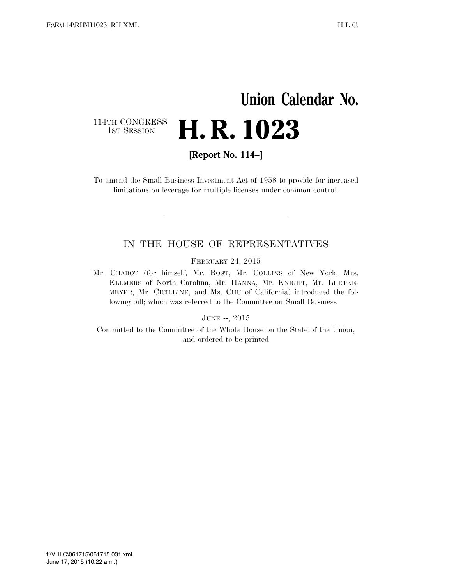## **Union Calendar No.**  114TH CONGRESS<br>1st Session H. R. 1023

**[Report No. 114–]** 

To amend the Small Business Investment Act of 1958 to provide for increased limitations on leverage for multiple licenses under common control.

## IN THE HOUSE OF REPRESENTATIVES

FEBRUARY 24, 2015

Mr. CHABOT (for himself, Mr. BOST, Mr. COLLINS of New York, Mrs. ELLMERS of North Carolina, Mr. HANNA, Mr. KNIGHT, Mr. LUETKE-MEYER, Mr. CICILLINE, and Ms. CHU of California) introduced the following bill; which was referred to the Committee on Small Business

JUNE --, 2015

Committed to the Committee of the Whole House on the State of the Union, and ordered to be printed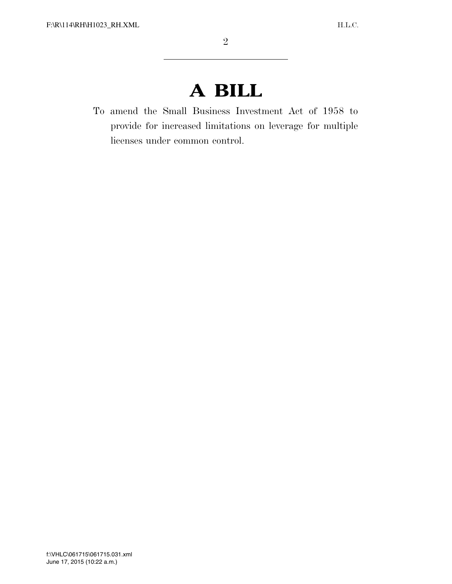## **A BILL**

To amend the Small Business Investment Act of 1958 to provide for increased limitations on leverage for multiple licenses under common control.